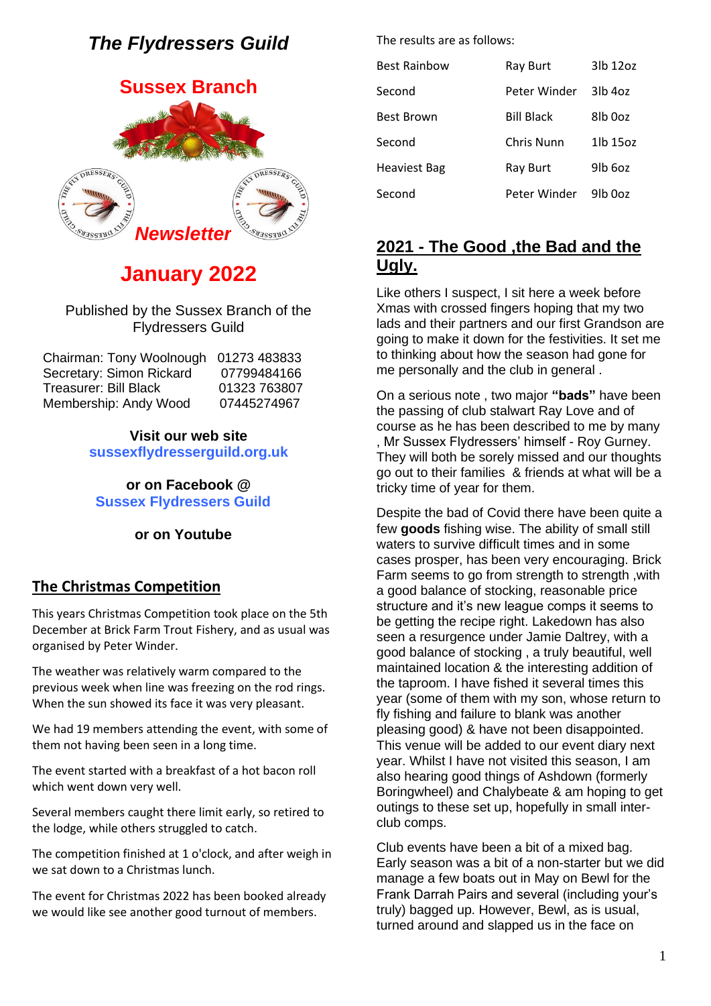# *The Flydressers Guild*

# **Sussex Branch**



# **January 2022**

#### Published by the Sussex Branch of the Flydressers Guild

| Chairman: Tony Woolnough 01273 483833 |              |
|---------------------------------------|--------------|
| Secretary: Simon Rickard              | 07799484166  |
| <b>Treasurer: Bill Black</b>          | 01323 763807 |
| Membership: Andy Wood                 | 07445274967  |

#### **Visit our web site sussexflydresserguild.org.uk**

**or on Facebook @ Sussex Flydressers Guild**

#### **or on Youtube**

### **The Christmas Competition**

This years Christmas Competition took place on the 5th December at Brick Farm Trout Fishery, and as usual was organised by Peter Winder.

The weather was relatively warm compared to the previous week when line was freezing on the rod rings. When the sun showed its face it was very pleasant.

We had 19 members attending the event, with some of them not having been seen in a long time.

The event started with a breakfast of a hot bacon roll which went down very well.

Several members caught there limit early, so retired to the lodge, while others struggled to catch.

The competition finished at 1 o'clock, and after weigh in we sat down to a Christmas lunch.

The event for Christmas 2022 has been booked already we would like see another good turnout of members.

The results are as follows:

| <b>Best Rainbow</b> | Ray Burt          | 3lb 12oz             |
|---------------------|-------------------|----------------------|
| Second              | Peter Winder      | $3$ lb 4 $oz$        |
| <b>Best Brown</b>   | <b>Bill Black</b> | 8lb 0oz              |
| Second              | Chris Nunn        | 1lb 15oz             |
| <b>Heaviest Bag</b> | Ray Burt          | 9lb 6oz              |
| Second              | Peter Winder      | 9 <sub>l</sub> b 0oz |

## **2021 - The Good ,the Bad and the Ugly.**

Like others I suspect, I sit here a week before Xmas with crossed fingers hoping that my two lads and their partners and our first Grandson are going to make it down for the festivities. It set me to thinking about how the season had gone for me personally and the club in general .

On a serious note , two major **"bads"** have been the passing of club stalwart Ray Love and of course as he has been described to me by many , Mr Sussex Flydressers' himself - Roy Gurney. They will both be sorely missed and our thoughts go out to their families & friends at what will be a tricky time of year for them.

Despite the bad of Covid there have been quite a few **goods** fishing wise. The ability of small still waters to survive difficult times and in some cases prosper, has been very encouraging. Brick Farm seems to go from strength to strength ,with a good balance of stocking, reasonable price structure and it's new league comps it seems to be getting the recipe right. Lakedown has also seen a resurgence under Jamie Daltrey, with a good balance of stocking , a truly beautiful, well maintained location & the interesting addition of the taproom. I have fished it several times this year (some of them with my son, whose return to fly fishing and failure to blank was another pleasing good) & have not been disappointed. This venue will be added to our event diary next year. Whilst I have not visited this season, I am also hearing good things of Ashdown (formerly Boringwheel) and Chalybeate & am hoping to get outings to these set up, hopefully in small interclub comps.

Club events have been a bit of a mixed bag. Early season was a bit of a non-starter but we did manage a few boats out in May on Bewl for the Frank Darrah Pairs and several (including your's truly) bagged up. However, Bewl, as is usual, turned around and slapped us in the face on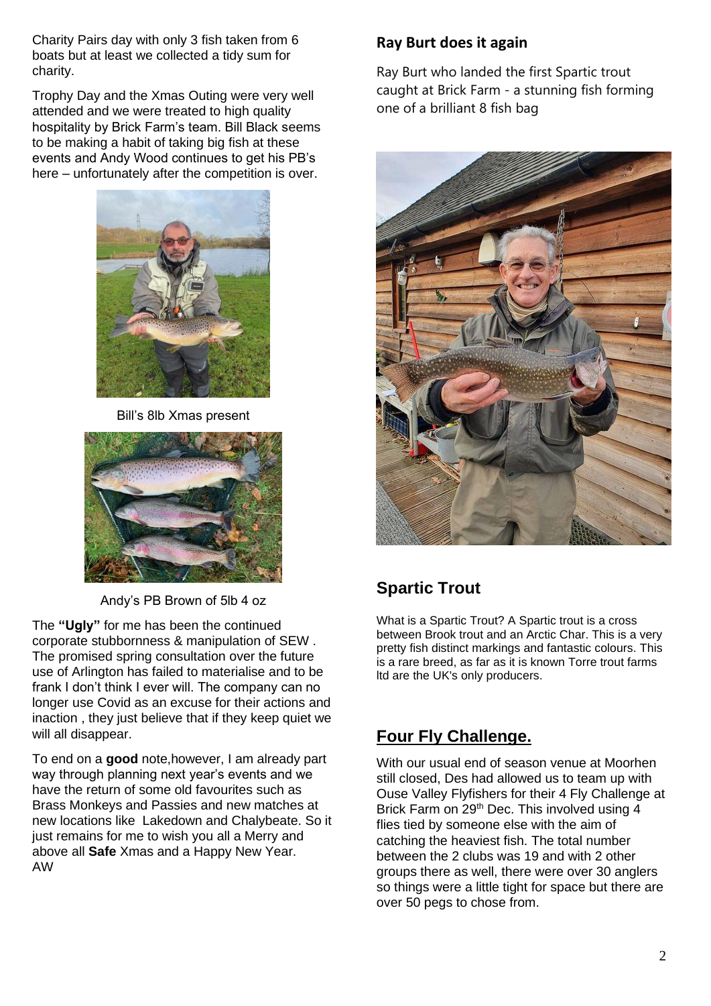Charity Pairs day with only 3 fish taken from 6 boats but at least we collected a tidy sum for charity.

Trophy Day and the Xmas Outing were very well attended and we were treated to high quality hospitality by Brick Farm's team. Bill Black seems to be making a habit of taking big fish at these events and Andy Wood continues to get his PB's here – unfortunately after the competition is over.



Bill's 8lb Xmas present



Andy's PB Brown of 5lb 4 oz

The **"Ugly"** for me has been the continued corporate stubbornness & manipulation of SEW . The promised spring consultation over the future use of Arlington has failed to materialise and to be frank I don't think I ever will. The company can no longer use Covid as an excuse for their actions and inaction , they just believe that if they keep quiet we will all disappear.

To end on a **good** note,however, I am already part way through planning next year's events and we have the return of some old favourites such as Brass Monkeys and Passies and new matches at new locations like Lakedown and Chalybeate. So it just remains for me to wish you all a Merry and above all **Safe** Xmas and a Happy New Year. AW

## **Ray Burt does it again**

Ray Burt who landed the first Spartic trout caught at Brick Farm - a stunning fish forming one of a brilliant 8 fish bag



## **Spartic Trout**

What is a Spartic Trout? A Spartic trout is a cross between Brook trout and an Arctic Char. This is a very pretty fish distinct markings and fantastic colours. This is a rare breed, as far as it is known Torre trout farms ltd are the UK's only producers.

## **Four Fly Challenge.**

With our usual end of season venue at Moorhen still closed, Des had allowed us to team up with Ouse Valley Flyfishers for their 4 Fly Challenge at Brick Farm on 29<sup>th</sup> Dec. This involved using 4 flies tied by someone else with the aim of catching the heaviest fish. The total number between the 2 clubs was 19 and with 2 other groups there as well, there were over 30 anglers so things were a little tight for space but there are over 50 pegs to chose from.